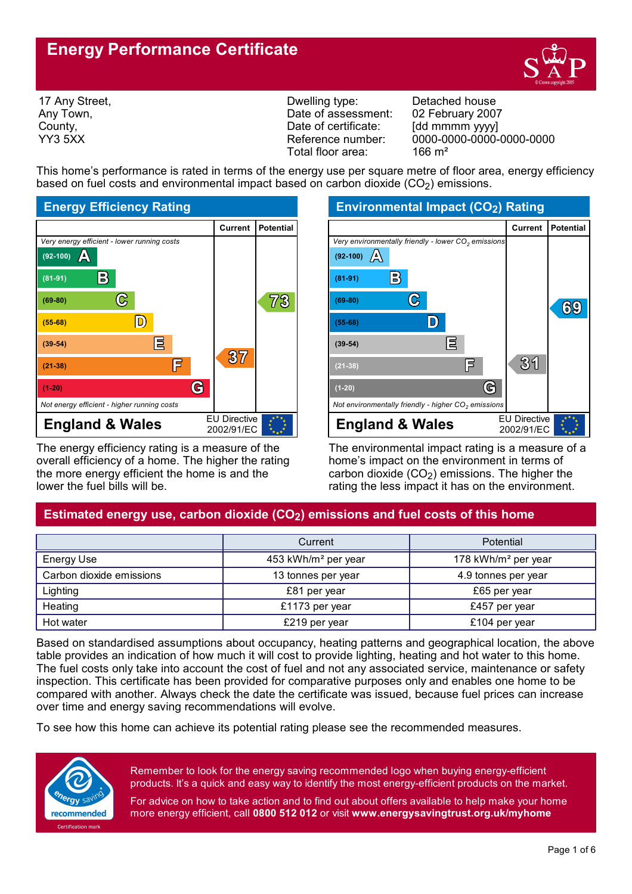# **Energy Performance Certificate**



17 Any Street, **Disk and Street**, Dwelling type: Detached house Any Town, **Date of assessment:** 02 February 2007 County, County, County, County, County, County, County, County, County, County, County, County, County, County, County, County, County, County, County, County, County, County, County, County, County, County, County, County Total floor area: 166 m²

Reference number: 0000-0000-0000-0000-0000

This home's performance is rated in terms of the energy use per square metre of floor area, energy efficiency based on fuel costs and environmental impact based on carbon dioxide  $(CO<sub>2</sub>)$  emissions.



The energy efficiency rating is a measure of the overall efficiency of a home. The higher the rating the more energy efficient the home is and the lower the fuel bills will be.

**Environmental Impact (CO2) Rating Current Potential** *Very environmentally friendly - lower CO<sup>2</sup> emissions Not environmentally friendly - higher CO<sup>2</sup> emissions*  $(92-100)$   $\left/\frac{A}{A}\right>$ **(81-91) B (69-80) C (55-68) D (39-54) E (21-38) F (1-20) G 31 69 England & Wales** EU Directive 2002/91/EC

The environmental impact rating is a measure of a home's impact on the environment in terms of carbon dioxide  $(CO<sub>2</sub>)$  emissions. The higher the rating the less impact it has on the environment.

# **Estimated energy use, carbon dioxide (CO2) emissions and fuel costs of this home**

|                          | Current                         | <b>Potential</b>                |
|--------------------------|---------------------------------|---------------------------------|
| Energy Use               | 453 kWh/m <sup>2</sup> per year | 178 kWh/m <sup>2</sup> per year |
| Carbon dioxide emissions | 13 tonnes per year              | 4.9 tonnes per year             |
| Lighting                 | £81 per year                    | £65 per year                    |
| Heating                  | £1173 per year                  | £457 per year                   |
| Hot water                | £219 per year                   | £104 per year                   |

Based on standardised assumptions about occupancy, heating patterns and geographical location, the above table provides an indication of how much it will cost to provide lighting, heating and hot water to this home. The fuel costs only take into account the cost of fuel and not any associated service, maintenance or safety inspection. This certificate has been provided for comparative purposes only and enables one home to be compared with another. Always check the date the certificate was issued, because fuel prices can increase over time and energy saving recommendations will evolve.

To see how this home can achieve its potential rating please see the recommended measures.



Remember to look for the energy saving recommended logo when buying energy-efficient products. It's a quick and easy way to identify the most energy-efficient products on the market.

For advice on how to take action and to find out about offers available to help make your home more energy efficient, call **0800 512 012** or visit **www.energysavingtrust.org.uk/myhome**

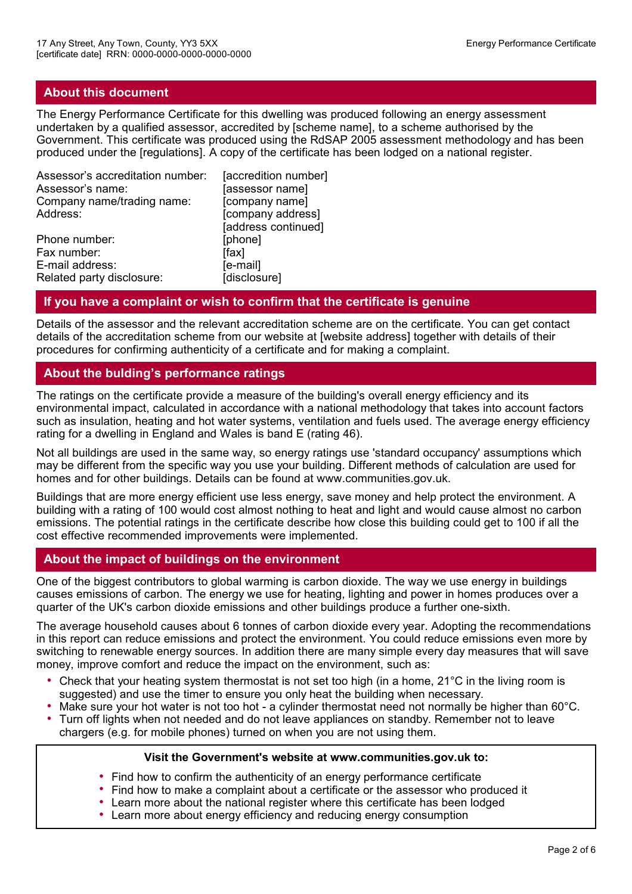# **About this document**

The Energy Performance Certificate for this dwelling was produced following an energy assessment undertaken by a qualified assessor, accredited by [scheme name], to a scheme authorised by the Government. This certificate was produced using the RdSAP 2005 assessment methodology and has been produced under the [regulations]. A copy of the certificate has been lodged on a national register.

| Assessor's accreditation number: | [accredition number] |
|----------------------------------|----------------------|
| Assessor's name:                 | [assessor name]      |
| Company name/trading name:       | [company name]       |
| Address:                         | [company address]    |
|                                  | [address continued]  |
| Phone number:                    | [phone]              |
| Fax number:                      | [ <i>f</i> ax]       |
| E-mail address:                  | [e-mail]             |
| Related party disclosure:        | [disclosure]         |

## **If you have a complaint or wish to confirm that the certificate is genuine**

Details of the assessor and the relevant accreditation scheme are on the certificate. You can get contact details of the accreditation scheme from our website at [website address] together with details of their procedures for confirming authenticity of a certificate and for making a complaint.

## **About the bulding's performance ratings**

The ratings on the certificate provide a measure of the building's overall energy efficiency and its environmental impact, calculated in accordance with a national methodology that takes into account factors such as insulation, heating and hot water systems, ventilation and fuels used. The average energy efficiency rating for a dwelling in England and Wales is band E (rating 46).

Not all buildings are used in the same way, so energy ratings use 'standard occupancy' assumptions which may be different from the specific way you use your building. Different methods of calculation are used for homes and for other buildings. Details can be found at www.communities.gov.uk.

Buildings that are more energy efficient use less energy, save money and help protect the environment. A building with a rating of 100 would cost almost nothing to heat and light and would cause almost no carbon emissions. The potential ratings in the certificate describe how close this building could get to 100 if all the cost effective recommended improvements were implemented.

# **About the impact of buildings on the environment**

One of the biggest contributors to global warming is carbon dioxide. The way we use energy in buildings causes emissions of carbon. The energy we use for heating, lighting and power in homes produces over a quarter of the UK's carbon dioxide emissions and other buildings produce a further one-sixth.

The average household causes about 6 tonnes of carbon dioxide every year. Adopting the recommendations in this report can reduce emissions and protect the environment. You could reduce emissions even more by switching to renewable energy sources. In addition there are many simple every day measures that will save money, improve comfort and reduce the impact on the environment, such as:

- Check that your heating system thermostat is not set too high (in a home, 21°C in the living room is suggested) and use the timer to ensure you only heat the building when necessary.
- Make sure your hot water is not too hot a cylinder thermostat need not normally be higher than 60°C.
- Turn off lights when not needed and do not leave appliances on standby. Remember not to leave chargers (e.g. for mobile phones) turned on when you are not using them.

## **Visit the Government's website at www.communities.gov.uk to:**

- Find how to confirm the authenticity of an energy performance certificate
- Find how to make a complaint about a certificate or the assessor who produced it
- Learn more about the national register where this certificate has been lodged
- Learn more about energy efficiency and reducing energy consumption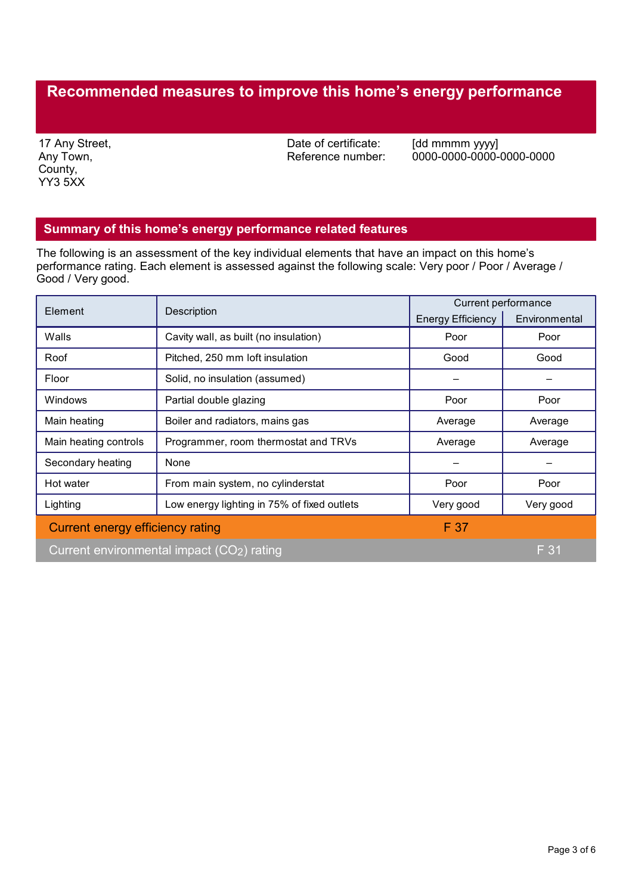# **Recommended measures to improve this home's energy performance**

County, YY3 5XX

17 Any Street, Date of certificate: [dd mmmm yyyy]

Any Town, Reference number: 0000-0000-0000-0000-0000

# **Summary of this home's energy performance related features**

The following is an assessment of the key individual elements that have an impact on this home's performance rating. Each element is assessed against the following scale: Very poor / Poor / Average / Good / Very good.

| Element                                   |                                             | Current performance      |               |
|-------------------------------------------|---------------------------------------------|--------------------------|---------------|
|                                           | Description                                 | <b>Energy Efficiency</b> | Environmental |
| Walls                                     | Cavity wall, as built (no insulation)       | Poor                     | Poor          |
| Roof                                      | Pitched, 250 mm loft insulation             | Good                     | Good          |
| Floor                                     | Solid, no insulation (assumed)              |                          |               |
| Windows                                   | Partial double glazing                      | Poor                     | Poor          |
| Main heating                              | Boiler and radiators, mains gas             | Average                  | Average       |
| Main heating controls                     | Programmer, room thermostat and TRVs        | Average                  | Average       |
| Secondary heating                         | None                                        |                          |               |
| Hot water                                 | From main system, no cylinderstat           | Poor                     | Poor          |
| Lighting                                  | Low energy lighting in 75% of fixed outlets | Very good                | Very good     |
| Current energy efficiency rating          |                                             | F 37                     |               |
| Current environmental impact (CO2) rating |                                             |                          | F 31          |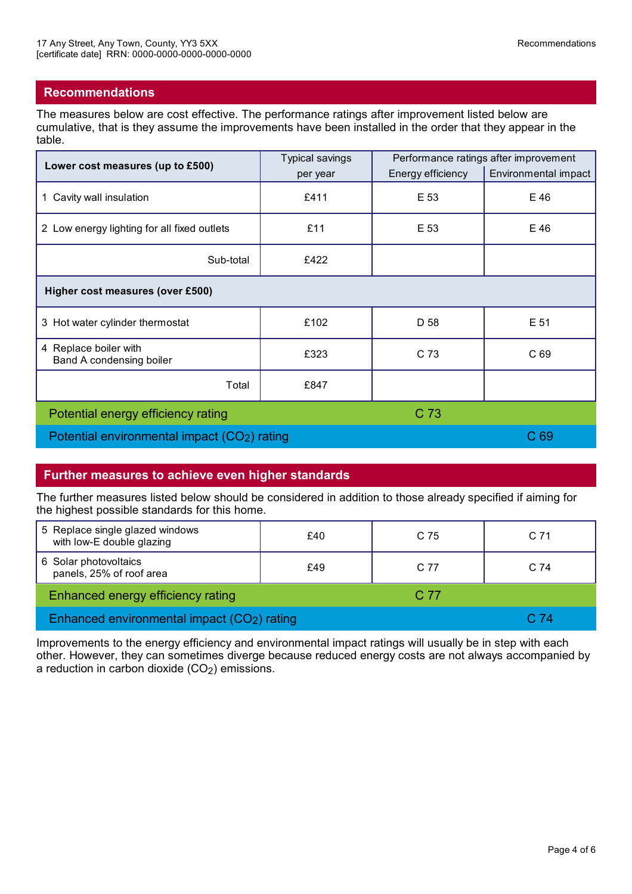## **Recommendations**

The measures below are cost effective. The performance ratings after improvement listed below are cumulative, that is they assume the improvements have been installed in the order that they appear in the table.

| Lower cost measures (up to £500)                         | <b>Typical savings</b> | Performance ratings after improvement |                      |  |
|----------------------------------------------------------|------------------------|---------------------------------------|----------------------|--|
|                                                          | per year               | Energy efficiency                     | Environmental impact |  |
| Cavity wall insulation<br>1                              | £411                   | E 53                                  | E 46                 |  |
| 2 Low energy lighting for all fixed outlets              | £11                    | E 53                                  | E 46                 |  |
| Sub-total                                                | £422                   |                                       |                      |  |
| Higher cost measures (over £500)                         |                        |                                       |                      |  |
| 3 Hot water cylinder thermostat                          | £102                   | D 58                                  | E 51                 |  |
| 4 Replace boiler with<br>Band A condensing boiler        | £323                   | C 73                                  | C 69                 |  |
| Total                                                    | £847                   |                                       |                      |  |
| Potential energy efficiency rating                       |                        | C 73                                  |                      |  |
| Potential environmental impact (CO <sub>2</sub> ) rating |                        |                                       | C <sub>69</sub>      |  |

# **Further measures to achieve even higher standards**

The further measures listed below should be considered in addition to those already specified if aiming for the highest possible standards for this home.

| 5 Replace single glazed windows<br>with low-E double glazing | £40 | C 75 | C <sub>71</sub> |
|--------------------------------------------------------------|-----|------|-----------------|
| 6 Solar photovoltaics<br>panels, 25% of roof area            | £49 | C 77 | C <sub>74</sub> |
| Enhanced energy efficiency rating                            |     | C 77 |                 |
| Enhanced environmental impact (CO2) rating                   |     |      | C. 74           |

Improvements to the energy efficiency and environmental impact ratings will usually be in step with each other. However, they can sometimes diverge because reduced energy costs are not always accompanied by a reduction in carbon dioxide  $(CO<sub>2</sub>)$  emissions.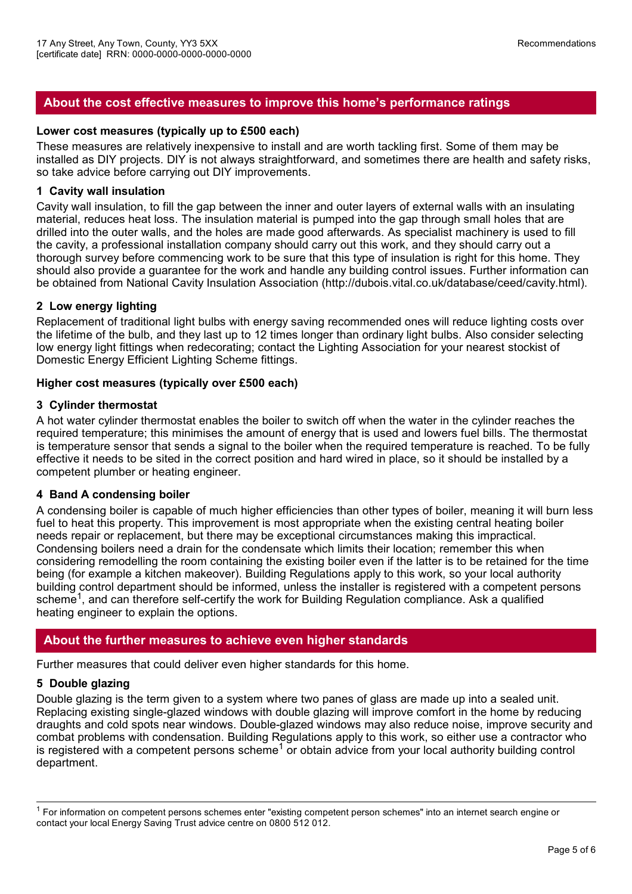# **About the cost effective measures to improve this home's performance ratings**

## **Lower cost measures (typically up to £500 each)**

These measures are relatively inexpensive to install and are worth tackling first. Some of them may be installed as DIY projects. DIY is not always straightforward, and sometimes there are health and safety risks, so take advice before carrying out DIY improvements.

## **1 Cavity wall insulation**

Cavity wall insulation, to fill the gap between the inner and outer layers of external walls with an insulating material, reduces heat loss. The insulation material is pumped into the gap through small holes that are drilled into the outer walls, and the holes are made good afterwards. As specialist machinery is used to fill the cavity, a professional installation company should carry out this work, and they should carry out a thorough survey before commencing work to be sure that this type of insulation is right for this home. They should also provide a guarantee for the work and handle any building control issues. Further information can be obtained from National Cavity Insulation Association (http://dubois.vital.co.uk/database/ceed/cavity.html).

## **2 Low energy lighting**

Replacement of traditional light bulbs with energy saving recommended ones will reduce lighting costs over the lifetime of the bulb, and they last up to 12 times longer than ordinary light bulbs. Also consider selecting low energy light fittings when redecorating; contact the Lighting Association for your nearest stockist of Domestic Energy Efficient Lighting Scheme fittings.

#### **Higher cost measures (typically over £500 each)**

#### **3 Cylinder thermostat**

A hot water cylinder thermostat enables the boiler to switch off when the water in the cylinder reaches the required temperature; this minimises the amount of energy that is used and lowers fuel bills. The thermostat is temperature sensor that sends a signal to the boiler when the required temperature is reached. To be fully effective it needs to be sited in the correct position and hard wired in place, so it should be installed by a competent plumber or heating engineer.

## **4 Band A condensing boiler**

A condensing boiler is capable of much higher efficiencies than other types of boiler, meaning it will burn less fuel to heat this property. This improvement is most appropriate when the existing central heating boiler needs repair or replacement, but there may be exceptional circumstances making this impractical. Condensing boilers need a drain for the condensate which limits their location; remember this when considering remodelling the room containing the existing boiler even if the latter is to be retained for the time being (for example a kitchen makeover). Building Regulations apply to this work, so your local authority building control department should be informed, unless the installer is registered with a competent persons scheme<sup>1</sup>, and can therefore self-certify the work for Building Regulation compliance. Ask a qualified heating engineer to explain the options.

## **About the further measures to achieve even higher standards**

Further measures that could deliver even higher standards for this home.

## **5 Double glazing**

Double glazing is the term given to a system where two panes of glass are made up into a sealed unit. Replacing existing single-glazed windows with double glazing will improve comfort in the home by reducing draughts and cold spots near windows. Double-glazed windows may also reduce noise, improve security and combat problems with condensation. Building Regulations apply to this work, so either use a contractor who is registered with a competent persons scheme<sup>1</sup> or obtain advice from your local authority building control department.

A solar PV system is one which converts light directly into electricity via panels placed on the roof with no

<sup>&</sup>lt;sup>1</sup> For information on competent persons schemes enter "existing competent person schemes" into an internet search engine or contact your local Energy Saving Trust advice centre on 0800 512 012.